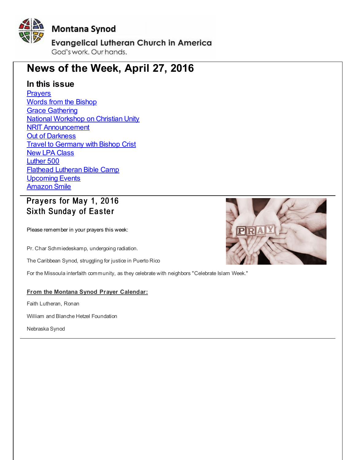<span id="page-0-0"></span>

# **News of the Week, April 27, 2016**

## **In this issue**

**[Prayers](#page-0-0)** Words from the [Bishop](#page-0-0) **Grace [Gathering](#page-0-0)** National [Workshop](#page-0-0) on Christian Unity **NRIT [Announcement](#page-0-0) Out of [Darkness](#page-0-0) Travel to [Germany](#page-0-0) with Bishop Crist New LPA [Class](#page-0-0)** [Luther](#page-0-0) 500 Flathead [Lutheran](#page-0-0) Bible Camp **[Upcoming](#page-0-0) Events** [Amazon](#page-0-0) Smile

# Prayers for May 1, 2016 Sixth Sunday of Easter

Please remember in your prayers this week:

Pr. Char Schmiedeskamp, undergoing radiation.

The Caribbean Synod, struggling for justice in Puerto Rico

For the Missoula interfaith community, as they celebrate with neighbors "Celebrate Islam Week."

### **From the Montana Synod Prayer Calendar:**

Faith Lutheran, Ronan

William and Blanche Hetzel Foundation

Nebraska Synod

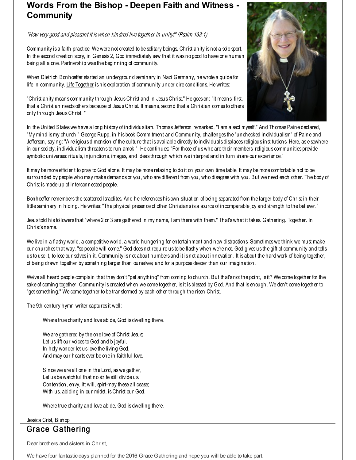# **Words From the Bishop - Deepen Faith and Witness - Community**

### "How very good and pleasant it iswhen kindred live together in unity!" (Psalm 133:1)

Community is a faith practice. We were not created to be solitary beings. Christianity is not a solo sport. In the second creation story, in Genesis 2, God immediately saw that it was no good to have one human being all alone. Partnership was the beginning of community.

When Dietrich Bonhoeffer started an underground seminary in Nazi Germany, he wrote a quide for life in community. Life Together is his exploration of community under dire conditions. He writes:

"Christianity means community through JesusChrist and in JesusChrist." He goes on: "It means, first, that a Christian needs others because of JesusChrist. It means, second that a Christian comes to others only through JesusChrist. "

In the United States we have a long history of individualism. Thomas Jefferson remarked, "I am a sect myself." And Thomas Paine declared, "My mind ismy church." George Rupp, in his book Commitment and Community, challenges the "unchecked individualism" of Paine and Jefferson, saying: "A religious dimension of the culture that is available directly to individuals displaces religious institutions. Here, as elsewhere in our society, individualism threatens to run amok." He continues: "For those of uswho are their members, religious communities provide symbolic universes: rituals, injunctions, images, and ideas through which we interpret and in turn share our experience."

It may bemore efficient to pray to God alone. It may bemore relaxing to do it on your own time table. It may bemore comfortable not to be surrounded by people who may make demands or you, who are different from you, who disagree with you. But we need each other. The body of Christ ismade up of interconnected people.

Bonhoeffer remembers the scattered Israelites. And he references his own situation of being separated from the larger body of Christ in their little seminary in hiding. He writes: "The physical presence of other Christians is a source of incomparable joy and strength to the believer."

Jesus told his followers that "where 2 or 3 are gathered in my name, I am there with them." That'swhat it takes. Gathering. Together. In Christ's name.

We live in a flashy world, a competitive world, a world hungering for entertainment and new distractions. Sometimes we think we must make our churches that way, "so people will come." God does not require us to be flashy when we're not. God gives us the gift of community and tells us to use it, to lose our selves in it. Community is not about numbers and it is not about innovation. It is about the hard work of being together, of being drawn together by something larger than ourselves, and for a purpose deeper than our imagination.

We've all heard people complain that they don't "get anything" from coming to church. But that's not the point, is it? We come together for the sake of coming together. Community is created when we come together, is it is blessed by God. And that is enough. We don't come together to "get something." We come together to be transformed by each other through the risen Christ.

The 9th century hymn writer captures it well:

Where true charity and love abide, God is dwelling there.

We are gathered by the one love of Christ Jesus; Let us lift our voices to God and b joyful. In holy wonder let us love the living God, And may our hearts ever be one in faithful love.

Since we are all one in the Lord, aswe gather, Let us be watch ful that no strife still divide us. Contention, envy, itt will, spirt-may these all cease; With us, abiding in our midst, is Christ our God.

Where true charity and love abide, God is dwelling there.

#### Jessica Crist, Bishop

## **Grace Gathering**

Dear brothers and sisters in Christ,

We have four fantastic days planned for the 2016 Grace Gathering and hope you will be able to take part.

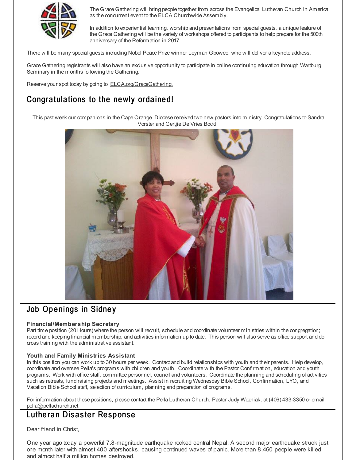

The Grace Gathering will bring people together from across the Evangelical Lutheran Church in America as the concurrent event to the ELCA Churchwide Assembly.

In addition to experiential learning, worship and presentations from special guests, a unique feature of the Grace Gathering will be the variety of workshops offered to participants to help prepare for the 500th anniversary of the Reformation in 2017.

There will be many special guests including Nobel Peace Prize winner Leymah Gbowee, who will deliver a keynote address.

Grace Gathering registrants will also have an exclusive opportunity to participate in online continuing education through Wartburg Seminary in the months following the Gathering.

Reserve your spot today by going to **[ELCA.org/GraceGathering.](http://r20.rs6.net/tn.jsp?f=001clNSC4CiogZbT-pQLPqJwZehV7UxPR-wRL8nGSduN4YpwL70g9-sWL9kSVOhJcW66MHz7xDo16rkTXjMyogl6FGBj21h675qXmdXow_5qiGmLfZaP3rxITxD6MamL_RTZq0ZYfRbMLp0bzN7Za4sQ8TzT8NAeBlMD25wQbkTEoquLGVOcCeqag==&c=&ch=)** 

# Congratulations to the newly ordained!

This past week our companions in the Cape Orange Diocese received two new pastors into ministry. Congratulations to Sandra Vorster and Gertjie De Vries Bock!



## Job Openings in Sidney

#### **Financial/Membership Secretary**

Part time position (20 Hours) where the person will recruit, schedule and coordinate volunteer ministries within the congregation; record and keeping financial membership, and activities information up to date. This person will also serve as office support and do cross training with the administrative assistant.

#### **Youth and Family Ministries Assistant**

In this position you can work up to 30 hours per week. Contact and build relationships with youth and their parents. Help develop, coordinate and oversee Pella's programs with children and youth. Coordinate with the Pastor Confirmation, education and youth programs. Work with office staff, committee personnel, council and volunteers. Coordinate the planning and scheduling of activities such as retreats, fund raising projects and meetings. Assist in recruiting Wednesday Bible School, Confirmation, LYO, and Vacation Bible School staff, selection of curriculum, planning and preparation of programs.

For information about these positions, please contact the Pella Lutheran Church, Pastor Judy Wozniak, at (406) 433-3350 or email pella@pellachurch.net.

### Lutheran Disaster Response

Dear friend in Christ,

One year ago today a powerful 7.8-magnitude earthquake rocked central Nepal. A second major earthquake struck just one month later with almost 400 aftershocks, causing continued waves of panic. More than 8,460 people were killed and almost half a million homes destroyed.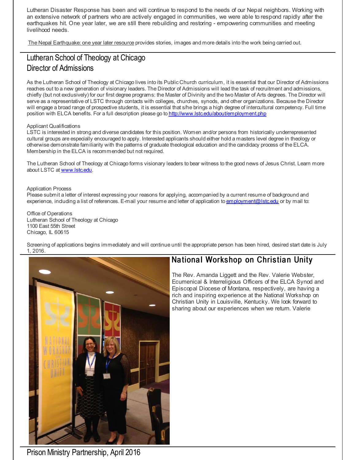Lutheran Disaster Response has been and will continue to respond to the needs of our Nepal neighbors. Working with an extensive network of partners who are actively engaged in communities, we were able to respond rapidly after the earthquakes hit. One year later, we are still there rebuilding and restoring - empowering communities and meeting livelihood needs.

The Nepal [Earthquake:](http://r20.rs6.net/tn.jsp?f=001clNSC4CiogZbT-pQLPqJwZehV7UxPR-wRL8nGSduN4YpwL70g9-sWL9kSVOhJcW6zQM3Pa1s2xAWO5rb-ZbcvIB-egPPaWAyLtzgIw_zBu0qjN_E4PYy0iJIjiM7jJOLGplFgBCshdRZeNmS5QRsHvP2KnvSHF7xwj6GFwHwuj2NX6tF5PFQhCL_qIr_xQ189x7LDZ5xz-akjje7IW_TwMI3JrM8EIuXN1z3PjsdbD6vUeYrcUNWGbLk6c80UF8ucnQ1CU_tosUSAudfi_preAkj4rhu2sgSkF5qJQ2p45-1pl-1Ogqzp1UuoheQyC_Lx7oin3E4mSFLJCnvK9JF8uEL5mYYEAiPTDudGW0H5AZGWg2bw3G5-RquhEGh_dpAv16VlmWHAhwjxTRS12T_Lcc8MS-htDWN019Cl2fyO_As_gsjFhjw2D-E_czaCbTbm4rZUBYzgk_6pe0Pgtut9w==&c=&ch=) one year later resource provides stories, images and more details into the work being carried out.

# Lutheran School of Theology at Chicago Director of Admissions

As the Lutheran School of Theology at Chicago lives into its Public Church curriculum, it is essential that our Director of Admissions reaches out to a new generation of visionary leaders. The Director of Admissions will lead the task of recruitment and admissions, chiefly (but not exclusively) for our first degree programs: the Master of Divinity and the two Master of Arts degrees. The Director will serve as a representative of LSTC through contacts with colleges, churches, synods, and other organizations. Because the Director will engage a broad range of prospective students, it is essential that s/he brings a high degree of intercultural competency. Full time position with ELCA benefits. For a full description please go to [http://www.lstc.edu/about/employment.php](http://r20.rs6.net/tn.jsp?f=001clNSC4CiogZbT-pQLPqJwZehV7UxPR-wRL8nGSduN4YpwL70g9-sWL9kSVOhJcW6FxMXq0ryGVAZ3leIRdtmAFswq1Uy1ds6FhjYOQgP3uIm-HdvB90X3Pzqg9CtXWSlwYRls1sqecZgrGO9019EFzzL7m9iRBOcyZW7OOZ-lghvh5fdrLgURLrTh2tjLrbGTPG15cOCCCc=&c=&ch=)

#### Applicant Qualifications

LSTC is interested in strong and diverse candidates for this position. Women and/or persons from historically underrepresented cultural groups are especially encouraged to apply. Interested applicants should either hold a masters level degree in theology or otherwise demonstrate familiarity with the patterns of graduate theological education and the candidacy process of the ELCA. Membership in the ELCA is recommended but not required.

The Lutheran School of Theology at Chicago forms visionary leaders to bear witness to the good news of Jesus Christ. Learn more about LSTC at [www.lstc.edu](http://r20.rs6.net/tn.jsp?f=001clNSC4CiogZbT-pQLPqJwZehV7UxPR-wRL8nGSduN4YpwL70g9-sWL9kSVOhJcW6Ea4-z1E6O_hJ5Pffh7PJGX8VjC6GMI-0ta8fEJ4YBAOgRPhzwBR66LMEfGIWNX_fHM3Y-DHz4J5pi-7y4Q530y9NEfiCH648&c=&ch=).

#### Application Process

Please submit a letter of interest expressing your reasons for applying, accompanied by a current resume of background and experience, including a list of references. E-mail your resume and letter of application to [employment@lstc.edu](mailto:employment@lstc.edu) or by mail to:

Office of Operations Lutheran School of Theology at Chicago 1100 East 55th Street Chicago, IL 60615

Screening of applications begins immediately and will continue until the appropriate person has been hired, desired start date is July 1, 2016.



## National Workshop on Christian Unity

The Rev. Amanda Liggett and the Rev. Valerie Webster, Ecumenical & Interreligious Officers of the ELCA Synod and Episcopal Diocese of Montana, respectively, are having a rich and inspiring experience at the National Workshop on Christian Unity in Louisville, Kentucky. We look forward to sharing about our experiences when we return. Valerie

Prison Ministry Partnership, April 2016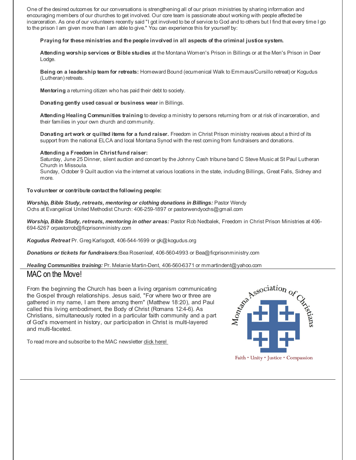One of the desired outcomes for our conversations is strengthening all of our prison ministries by sharing information and encouraging members of our churches to get involved. Our core team is passionate about working with people affected be incarceration. As one of our volunteers recently said "I got involved to be of service to God and to others but I find that every time I go to the prison I am given more than I am able to give." You can experience this for yourself by:

#### **Praying for these ministries and the people involved in all aspects of the criminal justice system.**

**Attending worship services or Bible studies** at the Montana Women's Prison in Billings or at the Men's Prison in Deer Lodge.

**Being on a leadership team for retreats:** Homeward Bound (ecumenical Walk to Emmaus/Cursillo retreat) or Kogudus (Lutheran) retreats.

**Mentoring** a returning citizen who has paid their debt to society.

**Donating gently used casual or business wear** in Billings.

**Attending Healing Communities training** to develop a ministry to persons returning from or at risk of incarceration, and their families in your own church and community.

**Donating art work or quilted items for a fund raiser.** Freedom in Christ Prison ministry receives about a third of its support from the national ELCA and local Montana Synod with the rest coming from fundraisers and donations.

#### **Attending a Freedom in Christ fund raiser:**

Saturday, June 25 Dinner, silent auction and concert by the Johnny Cash tribune band C Steve Music at St Paul Lutheran Church in Missoula. Sunday, October 9 Quilt auction via the internet at various locations in the state, including Billings, Great Falls, Sidney and more.

#### **Tovolunteer or contribute contact the following people:**

*Worship, Bible Study, retreats, mentoring or clothing donations in Billings:* Pastor Wendy Ochs at Evangelical United Methodist Church: 406-259-1897 or pastorwendyochs@gmail.com

*Worship, Bible Study, retreats, mentoring in other areas:* Pastor Rob Nedbalek, Freedom in Christ Prison Ministries at 406- 694-5267 orpastorrob@ficprisonministry.com

*Kogudus Retreat* Pr. Greg Karlsgodt, 406-544-1699 or gk@kogudus.org

*Donations or tickets for fundraisers:*Bea Rosenleaf, 406-560-4993 or Bea@ficprisonministry.com

### MAC on the Move!

**MAC on the Move!**<br> **MAC on the Move!**<br>
From the beginning the Church has been a living organism communicating<br>
the Gospel through relationships. Jesus said, "For where two or three are<br>
gathered in my name, I am there amo From the beginning the Church has been a living organism communicating the Gospel through relationships. Jesus said, "For where two or three are gathered in my name, I am there among them" (Matthew 18:20), and Paul called this living embodiment, the Body of Christ (Romans 12:4-6). As Christians, simultaneously rooted in a particular faith community and a part of God's movement in history, our participation in Christ is multi-layered and multi-faceted.

To read more and subscribe to the MAC newsletter dick [here!](http://r20.rs6.net/tn.jsp?f=001clNSC4CiogZbT-pQLPqJwZehV7UxPR-wRL8nGSduN4YpwL70g9-sWL9kSVOhJcW6Pua500zflWLQFGK2EDYMX_ibGSOyTtE1ebZix9-lthpwL0J_11BUO4tfl_hc3PxH45Tc8BDFdTRhsF6kfT-NFATNx4UZ6lW7rAkE_FiF13ThxKlGNaBCkg==&c=&ch=)

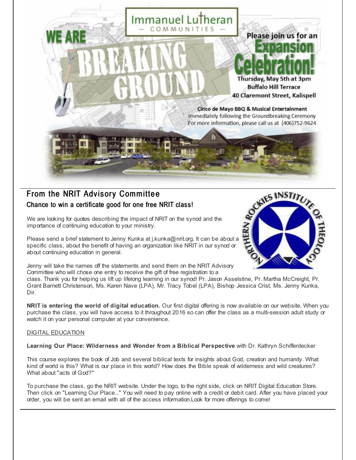

# From the NRIT Advisory Committee Chance to win a certificate good for one free NRIT class!

We are looking for quotes describing the impact of NRIT on the synod and the importance of continuing education to your ministry.

Please send a brief statement to Jenny Kunka at j.kunka@nrit.org. It can be about a specific class, about the benefit of having an organization like NRIT in our synod or about continuing education in general.



Jenny will take the names off the statements and send them on the NRIT Advisory Committee who will chose one entry to receive the gift of free registration to a

class. Thank you for helping us lift up lifelong learning in our synod! Pr. Jason Asselstine, Pr. Martha McCreight, Pr. Grant Barnett Christenson, Ms. Karen Nave (LPA), Mr. Tracy Tobel (LPA), Bishop Jessica Crist, Ms. Jenny Kunka, Dir.

**NRIT is entering the world of digital education.** Our first digital offering is now available on our website. When you purchase the class, you will have access to it throughout 2016 so can offer the class as a multi-session adult study or watch it on your personal computer at your convenience.

### DIGITAL EDUCATION

**Learning Our Place: Wilderness and Wonder from a Biblical Perspective** with Dr. Kathryn Schifferdecker

This course explores the book of Job and several biblical texts for insights about God, creation and humanity. What kind of world is this? What is our place in this world? How does the Bible speak of wilderness and wild creatures? What about "acts of God?"

To purchase the class, go the NRIT website. Under the logo, to the right side, click on NRIT Digital Education Store. Then click on "Learning Our Place..." You will need to pay online with a credit or debit card. After you have placed your order, you will be sent an email with all of the access information.Look for more offerings to come!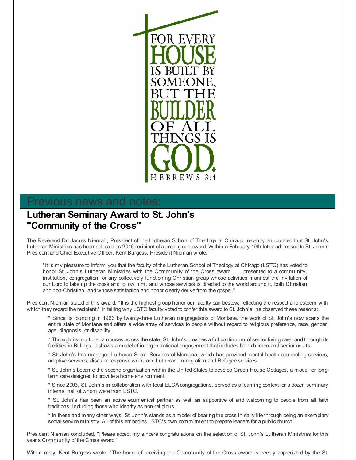

# revious news and notes:

# **Lutheran Seminary Award to St. John's "Community of the Cross"**

The Reverend Dr. James Nieman, President of the Lutheran School of Theology at Chicago, recently announced that St. John's Lutheran Ministries has been selected as 2016 recipient of a prestigious award. Within a February 19th letter addressed to St. John's President and Chief Executive Officer, Kent Burgess, President Nieman wrote:

"It is my pleasure to inform you that the faculty of the Lutheran School of Theology at Chicago (LSTC) has voted to honor St. John's Lutheran Ministries with the Community of the Cross award . . . presented to a community, institution, congregation, or any collectively functioning Christian group whose activities manifest the invitation of our Lord to take up the cross and follow him, and whose services is directed to the world around it, both Christian and non-Christian, and whose satisfaction and honor clearly derive from the gospel."

President Nieman stated of this award, "It is the highest group honor our faculty can bestow, reflecting the respect and esteem with which they regard the recipient." In telling why LSTC faculty voted to confer this award to St. John's, he observed these reasons:

\* Since its founding in 1963 by twenty-three Lutheran congregations of Montana, the work of St. John's now spans the entire state of Montana and offers a wide array of services to people without regard to religious preference, race, gender, age, diagnosis, or disability.

\* Through its multiple campuses across the state, St. John's provides a full continuum of senior living care, and through its facilities in Billings, it shows a model of intergenerational engagement that includes both children and senior adults.

\* St. John's has managed Lutheran Social Services of Montana, which has provided mental health counseling services, adoptive services, disaster response work, and Lutheran Immigration and Refugee services.

\* St. John's became the second organization within the United States to develop Green House Cottages, a model for longterm care designed to provide a home environment.

\* Since 2003, St. John's in collaboration with local ELCA congregations, served as a learning context for a dozen seminary interns, half of whom were from LSTC.

\* St. John's has been an active ecumenical partner as well as supportive of and welcoming to people from all faith traditions, including those who identity as non-religious.

\* In these and many other ways, St. John's stands as a model of bearing the cross in daily life through being an exemplary social service ministry. All of this embodies LSTC's own commitment to prepare leaders for a public church.

President Nieman concluded, "Please accept my sincere congratulations on the selection of St. John's Lutheran Ministries for this year's Community of the Cross award."

Within reply, Kent Burgess wrote, "The honor of receiving the Community of the Cross award is deeply appreciated by the St.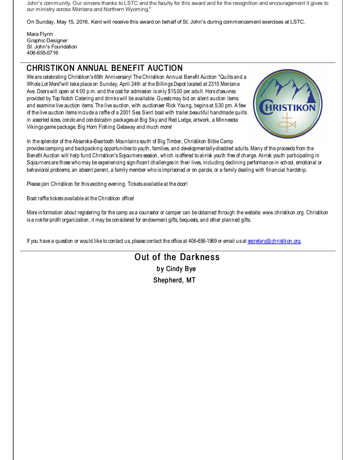John's community. Our sincere thanks to LSTC and the faculty for this award and for the recognition and encouragement it gives to our ministry across Montana and Northern Wyoming."

On Sunday, May 15, 2016, Kent will receive this award on behalf of St. John's during commencement exercises at LSTC.

Mara Flynn Graphic Designer St. John's Foundation 406-655-5716

# CHRISTIKON ANNUAL BENEFIT AUCTION

We are celebrating Christikon's 65th Anniversary! The Christikon Annual Benefit Auction "Quilts and a Whole Lot More"will take place on Sunday, April 24th at the BillingsDepot located at 2310 Montana Ave. Doorswill open at 4:00 p.m. and the cost for admission is only \$15.00 per adult. Hors d'oeuvres provided by Top Notch Catering and drinkswill be available. Guestsmay bid on silent auction items and examine live auction items. The live auction, with auctioneer Rick Young, begins at 5:30 pm. A few of the live auction items include a raffle of a 2001 Sea Swirl boat with trailer,beautiful handmade quilts in assorted sizes, condo and condo/cabin packages at Big Sky and Red Lodge, artwork, a Minnesota Vikings game package, Big Horn Fishing Getaway and much more!



In the splendor of the Absaroka-Beartooth Mountains south of Big Timber, Christikon Bible Camp

provides camping and backpacking opportunities to youth, families, and developmentally-disabled adults. Many of the proceeds from the Benefit Auction will help fund Christikon'sSojourners session, which is offered to at-risk youth free of charge. At-risk youth participating in Sojourners are those who may be experiencing significant challenges in their lives, including declining performance in school, emotional or behavioral problems, an absent parent, a family member who is imprisoned or on parole, or a family dealing with financial hardship.

Please join Christikon for this exciting evening. Tickets available at the door!

Boat raffle tickets available at the Christikon office!

More information about registering for the camp as a counselor or camper can be obtained through the website: www.christikon.org. Christikon is a not-for-profit organization, it may be considered for endowment gifts, bequests, and other planned gifts.

If you have a question or would like to contact us, please contact the office at 406-656-1969 or email us at [secretary@christikon.org](mailto:secretary@christikon.org).

# Out of the Darkness by Cindy Bye Shepherd, MT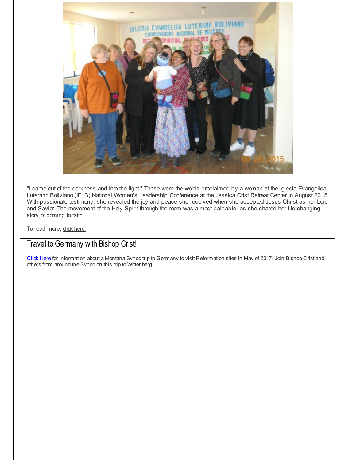

"I came out of the darkness and into the light." These were the words proclaimed by a woman at the Iglecia Evangelica Luterano Boliviano (IELB) National Women's Leadership Conference at the Jessica Crist Retreat Center in August 2015. With passionate testimony, she revealed the joy and peace she received when she accepted Jesus Christ as her Lord and Savior. The movement of the Holy Spirit through the room was almost palpable, as she shared her life-changing story of coming to faith.

To read more, dick [here.](http://r20.rs6.net/tn.jsp?f=001clNSC4CiogZbT-pQLPqJwZehV7UxPR-wRL8nGSduN4YpwL70g9-sWNuitdNBOHb51ewDlTd8Z7Ql-d9Is0QrqBrUKbSIP2vkp5h5S3cNOPCtQQU3qHZSWtHOY26rm4_yB1UK5a4pyRv1tZhGIhPjcImqINDBckzNY_W_Ht8leSD9q5wm--OwwA5eWtCC_OehLtRmLEqKCtg=&c=&ch=)

### Travel to Germany with Bishop Crist!

[Click](http://r20.rs6.net/tn.jsp?f=001clNSC4CiogZbT-pQLPqJwZehV7UxPR-wRL8nGSduN4YpwL70g9-sWK2jjr78gXFdmrqSYCUyYRP74DYgSK3Hjee9zj538v4pzgOrFne7AUGqTg8SsvOUXL-qPwbkF6IVKOQX4fttU_6kzJQpJKqcmfxSxh_0tg45EseHTwqImrAxCsgfMm6mV7F3IlQBmIG2p2kz2QDp-BrYG945ZIObjKRRdH-3rLWnn6T1UmaqAP65eNRw6v79AF5nU4mMVB1HQgeXtv_1IOJyjBDzP5FH7uV6H7paxrUN&c=&ch=) Here for information about a Montana Synod trip to Germany to visit Reformation sites in May of 2017. Join Bishop Crist and others from around the Synod on this trip to Wittenberg.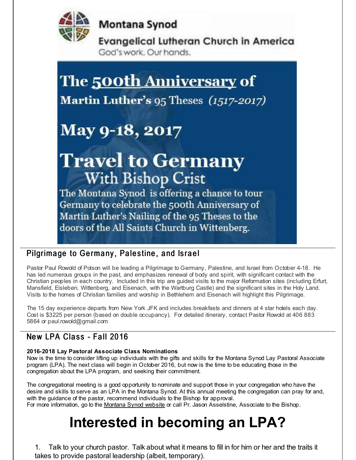

**Montana Synod** 

**Evangelical Lutheran Church in America** God's work. Our hands.

# The <u>500th Anniversary</u> of

Martin Luther's 95 Theses (1517-2017)

# May 9-18, 2017

# **Travel to Germany** With Bishop Crist

The Montana Synod is offering a chance to tour Germany to celebrate the 500th Anniversary of Martin Luther's Nailing of the 95 Theses to the doors of the All Saints Church in Wittenberg.

# Pilgrimage to Germany, Palestine, and Israel

Pastor Paul Rowold of Polson will be leading a Pilgrimage to Germany, Palestine, and Israel from October 4-18. He has led numerous groups in the past, and emphasizes renewal of body and spirit, with significant contact with the Christian peoples in each country. Included in this trip are guided visits to the major Reformation sites (including Erfurt, Mansfield, Eisleben, Wittenberg, and Eisenach, with the Wartburg Castle) and the significant sites in the Holy Land. Visits to the homes of Christian families and worship in Bethlehem and Eisenach will highlight this Pilgrimage.

The 15 day experience departs from New York JFK and includes breakfasts and dinners at 4 star hotels each day. Cost is \$3225 per person (based on double occupancy). For detailed itinerary, contact Pastor Rowold at 406 883 5864 or paul.rowold@gmail.com

# New LPA Class - Fall 2016

### **2016-2018 Lay Pastoral Associate Class Nominations**

Now is the time to consider lifting up individuals with the gifts and skills for the Montana Synod Lay Pastoral Associate program (LPA). The next class will begin in October 2016, but now is the time to be educating those in the congregation about the LPA program, and seeking their commitment.

The congregational meeting is a good opportunity to nominate and support those in your congregation who have the desire and skills to serve as an LPA in the Montana Synod. At this annual meeting the congregation can pray for and, with the guidance of the pastor, recommend individuals to the Bishop for approval. For more information, go to the [Montana](http://r20.rs6.net/tn.jsp?f=001clNSC4CiogZbT-pQLPqJwZehV7UxPR-wRL8nGSduN4YpwL70g9-sWMGOFYGL5ux4GTog2Ivmh3VfwtnjYLnP3927pX9pr1mv2m42n_ArZFNW08b4L9Q8T6Z15hYT8KK3aScfyAK7JRZVDtx_nTbHKEurbiSdW0p1706Bn64h3fleXOClPAwE-Q==&c=&ch=) Synod website or call Pr. Jason Asselstine, Associate to the Bishop.

# **Interested in becoming an LPA?**

1. Talk to your church pastor. Talk about what it means to fill in for him or her and the traits it takes to provide pastoral leadership (albeit, temporary).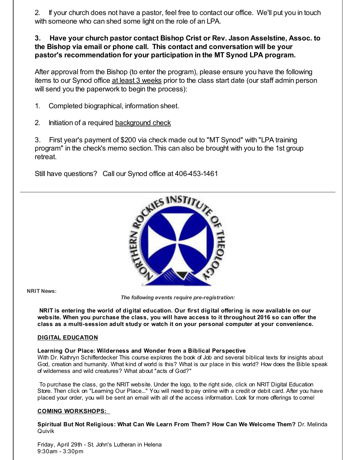2. If your church does not have a pastor, feel free to contact our office. We'll put you in touch with someone who can shed some light on the role of an LPA.

### **3. Have your church pastor contact Bishop Crist or Rev. Jason Asselstine, Assoc. to the Bishop via email or phone call. This contact and conversation will be your pastor's recommendation for your participation in the MT Synod LPA program.**

After approval from the Bishop (to enter the program), please ensure you have the following items to our Synod office at least 3 weeks prior to the class start date (our staff admin person will send you the paperwork to begin the process):

- 1. Completed biographical, information sheet.
- 2. Initiation of a required [background](http://r20.rs6.net/tn.jsp?f=001clNSC4CiogZbT-pQLPqJwZehV7UxPR-wRL8nGSduN4YpwL70g9-sWPn_SmbE-mt-PfPjIoZBoOUWFshyu_Ov8vLyTiTi-mZjiKjzjeAsFTrzT2eS7UESa5y5UGA-92IlnElhn_Eys33xCQy8Fikg2yUkXV4ZBkPM9FvgZADgb3opdAWoAtP9ZQMm2aV3AfUXq-G9zlpg5TalW4FdX4h6QQ==&c=&ch=) check

3. First year's payment of \$200 via check made out to "MT Synod" with "LPA training program" in the check's memo section. This can also be brought with you to the 1st group retreat.

Still have questions? Call our Synod office at 406-453-1461



**NRIT News:**

*The following events require pre-registration:*

**NRIT is entering the world of digital education. Our first digital offering is now available on our website. When you purchase the class, you will have access to it throughout 2016 so can offer the class as a multi-session adult study or watch it on your personal computer at your convenience.**

### **DIGITAL EDUCATION**

#### **Learning Our Place: Wilderness and Wonder from a Biblical Perspective**

With Dr. Kathryn Schifferdecker This course explores the book of Job and several biblical texts for insights about God, creation and humanity. What kind of world is this? What is our place in this world? How does the Bible speak of wilderness and wild creatures? What about "acts of God?"

To purchase the class, go the NRIT website. Under the logo, to the right side, click on NRIT Digital Education Store. Then click on "Learning Our Place..." You will need to pay online with a credit or debit card. After you have placed your order, you will be sent an email with all of the access information. Look for more offerings to come!

### **COMING WORKSHOPS:**

**Spiritual But Not Religious: What Can We Learn From Them? How Can We Welcome Them?** Dr. Melinda Quivik

Friday, April 29th - St. John's Lutheran in Helena 9:30am - 3:30pm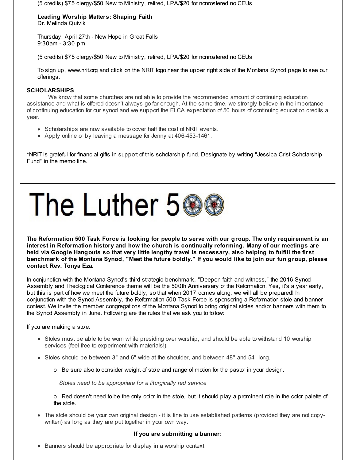(5 credits) \$75 clergy/\$50 New to Ministry, retired, LPA/\$20 for nonrostered no CEUs

#### **Leading Worship Matters: Shaping Faith** Dr. Melinda Quivik

Thursday, April 27th - New Hope in Great Falls 9:30am - 3:30 pm

(5 credits) \$75 clergy/\$50 New to Ministry, retired, LPA/\$20 for nonrostered no CEUs

To sign up, www.nrit.org and click on the NRIT logo near the upper right side of the Montana Synod page to see our offerings.

### **SCHOLARSHIPS**

We know that some churches are not able to provide the recommended amount of continuing education assistance and what is offered doesn't always go far enough. At the same time, we strongly believe in the importance of continuing education for our synod and we support the ELCA expectation of 50 hours of continuing education credits a year.

- Scholarships are now available to cover half the cost of NRIT events.
- Apply online or by leaving a message for Jenny at 406-453-1461.

\*NRIT is grateful for financial gifts in support of this scholarship fund. Designate by writing "Jessica Crist Scholarship Fund" in the memo line.



The Reformation 500 Task Force is looking for people to serve with our group. The only requirement is an **interest in Reformation history and how the church is continually reforming. Many of our meetings are** held via Google Hangouts so that very little lengthy travel is necessary, also helping to fulfill the first benchmark of the Montana Synod, "Meet the future boldly." If you would like to join our fun group, please **contact Rev. Tonya Eza.**

In conjunction with the Montana Synod's third strategic benchmark, "Deepen faith and witness," the 2016 Synod Assembly and Theological Conference theme will be the 500th Anniversary of the Reformation. Yes, it's a year early, but this is part of how we meet the future boldly, so that when 2017 comes along, we will all be prepared! In conjunction with the Synod Assembly, the Reformation 500 Task Force is sponsoring a Reformation stole and banner contest. We invite the member congregations of the Montana Synod to bring original stoles and/or banners with them to the Synod Assembly in June. Following are the rules that we ask you to follow:

If you are making a stole:

- Stoles must be able to be worn while presiding over worship, and should be able to withstand 10 worship services (feel free to experiment with materials!).
- Stoles should be between 3" and 6" wide at the shoulder, and between 48" and 54" long.
	- o Be sure also to consider weight of stole and range of motion for the pastor in your design.

*Stoles need to be appropriate for a liturgically red service*

o Red doesn't need to be the only color in the stole, but it should play a prominent role in the color palette of the stole.

The stole should be your own original design - it is fine to use established patterns (provided they are not copywritten) as long as they are put together in your own way.

#### **If you are submitting a banner:**

• Banners should be appropriate for display in a worship context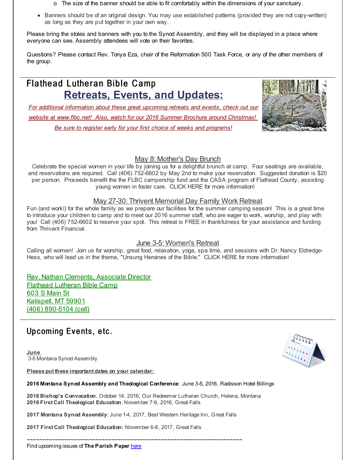- o The size of the banner should be able to fit comfortably within the dimensions of your sanctuary.
- Banners should be of an original design. You may use established patterns (provided they are not copy-written) as long as they are put together in your own way.

Please bring the stoles and banners with you to the Synod Assembly, and they will be displayed in a place where everyone can see. Assembly attendees will vote on their favorites.

Questions? Please contact Rev. Tonya Eza, chair of the Reformation 500 Task Force, or any of the other members of the group.

# Flathead Lutheran Bible Camp **Retreats, Events, and Updates:**

*For additional information about these great upcoming retreats and events, check out our website at [www.flbc.net!](http://r20.rs6.net/tn.jsp?f=001clNSC4CiogZbT-pQLPqJwZehV7UxPR-wRL8nGSduN4YpwL70g9-sWHJzEQP8Isq-Tem8vDgqOBDhQknblZ9oaf8CjGUTKllt6K-LVXXlhpl1zpmQNPhmt0MMrWH43gUlHUOi3hQWJ71kSd6Baxu22qi-cUd8mSb8Cbx4EBHLb-TX7sBsD54GVqHLym5sP7QSvTJjP_I0wXx0rSZ43vCo1g5cEEYluNc0u22g7G1tWTp7phCiAhGcWgr-a8yLB0Li&c=&ch=) Also, watch for our 2016 Summer Brochure around Christmas! Be sure to register early for your first choice of weeks and programs!*



### May 8: Mother's Day Brunch

Celebrate the special women in your life by joining us for a delightful brunch at camp. Four seatings are available, and reservations are required. Call (406) 752-6602 by May 2nd to make your reservation. Suggested donation is \$20 per person. Proceeds benefit the the FLBC campership fund and the CASA program of Flathead County, assisting young women in foster care. CLICK HERE for more information!

### May 27-30: Thrivent Memorial Day Family Work Retreat

Fun (and work!) for the whole family as we prepare our facilities for the summer camping season! This is a great time to introduce your children to camp and to meet our 2016 summer staff, who are eager to work, worship, and play with you! Call (406) 752-6602 to reserve your spot. This retreat is FREE in thankfulness for your assistance and funding from Thrivent Financial.

### June 3-5: Women's Retreat

Calling all women! Join us for worship, great food, relaxation, yoga, spa time, and sessions with Dr. Nancy Eldredge-Hess, who will lead us in the theme, "Unsung Heroines of the Bible." CLICK HERE for more information!

Rev. Nathan Clements, Associate Director Flathead Lutheran Bible Camp 603 S Main St Kalispell, MT 59901 (406) 890-5104 (cell)

# Upcoming Events, etc.

**June** 3-5 Montana Synod Assembly

**Please put these important dates on your calendar:**



**2016 Bishop's Convocation**, October 14, 2016, Our Redeemer Lutheran Church, Helena, Montana **2016 First Call Theological Education**: November 7-9, 2016, Great Falls

**2017 Montana Synod Assembly**: June 1-4, 2017, Best Western Heritage Inn, Great Falls

**2017 First Call Theological Education:** November 6-8, 2017, Great Falls



~~~~~~~~~~~~~~~~~~~~~~~~~~~~~~~~~~~~~~~~~~~~~~~~~~~~~~~~~~~~~~~~~~~~~ Find upcoming issues of **The Parish Paper** [here](http://r20.rs6.net/tn.jsp?f=001clNSC4CiogZbT-pQLPqJwZehV7UxPR-wRL8nGSduN4YpwL70g9-sWJmuPxKSvIt49Pt98Sn9E1iQgbqAfVKr6WVrnfwjZiqs_KxWozA5H1emYP6bfJxTBzZJHTbfPpAUz0d7HlRKnjk3mJTLQ6arJ3RzswlzMdnS4LcKBHFIGpe6P9ph8xZCGZdk5frdhWLr-Q-BUyzcCbHFFX7CXqzD3w==&c=&ch=)